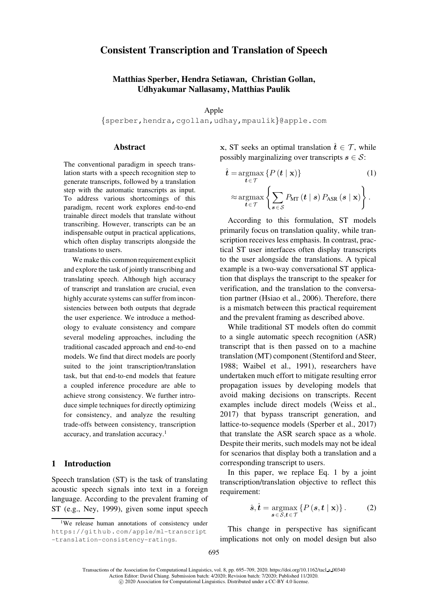# Consistent Transcription and Translation of Speech

# Matthias Sperber, Hendra Setiawan, Christian Gollan, Udhyakumar Nallasamy, Matthias Paulik

Apple

{[sperber,](mailto:sperber@apple.com)[hendra](mailto:hendra@apple.com)[,cgollan](mailto:cgollan@apple.com)[,udhay](mailto:udhay@apple.com)[,mpaulik](mailto:mpaulik@apple.com)}@apple.com

## **Abstract**

The conventional paradigm in speech translation starts with a speech recognition step to generate transcripts, followed by a translation step with the automatic transcripts as input. To address various shortcomings of this paradigm, recent work explores end-to-end trainable direct models that translate without transcribing. However, transcripts can be an indispensable output in practical applications, which often display transcripts alongside the translations to users.

We make this common requirement explicit and explore the task of jointly transcribing and translating speech. Although high accuracy of transcript and translation are crucial, even highly accurate systems can suffer from inconsistencies between both outputs that degrade the user experience. We introduce a methodology to evaluate consistency and compare several modeling approaches, including the traditional cascaded approach and end-to-end models. We find that direct models are poorly suited to the joint transcription/translation task, but that end-to-end models that feature a coupled inference procedure are able to achieve strong consistency. We further introduce simple techniques for directly optimizing for consistency, and analyze the resulting trade-offs between consistency, transcription accuracy, and translation accuracy.[1](#page-0-0)

### 1 Introduction

Speech translation (ST) is the task of translating acoustic speech signals into text in a foreign language. According to the prevalent framing of ST (e.g., [Ney, 1999\)](#page-13-0), given some input speech **x**, ST seeks an optimal translation  $\hat{t} \in \mathcal{T}$ , while possibly marginalizing over transcripts  $s \in \mathcal{S}$ :

<span id="page-0-1"></span>
$$
\hat{t} = \underset{t \in \mathcal{T}}{\operatorname{argmax}} \left\{ P(t | \mathbf{x}) \right\} \tag{1}
$$
\n
$$
\approx \underset{t \in \mathcal{T}}{\operatorname{argmax}} \left\{ \sum_{s \in \mathcal{S}} P_{\text{MT}}(t | s) P_{\text{ASR}}(s | \mathbf{x}) \right\}.
$$

According to this formulation, ST models primarily focus on translation quality, while transcription receives less emphasis. In contrast, practical ST user interfaces often display transcripts to the user alongside the translations. A typical example is a two-way conversational ST application that displays the transcript to the speaker for verification, and the translation to the conversation partner [\(Hsiao et al., 2006\)](#page-13-1). Therefore, there is a mismatch between this practical requirement and the prevalent framing as described above.

While traditional ST models often do commit to a single automatic speech recognition (ASR) transcript that is then passed on to a machine translation (MT) component [\(Stentiford and Steer,](#page-14-0) [1988](#page-14-0); [Waibel et al.](#page-14-1), [1991](#page-14-1)), researchers have undertaken much effort to mitigate resulting error propagation issues by developing models that avoid making decisions on transcripts. Recent examples include direct models [\(Weiss et al.,](#page-14-2) [2017](#page-14-2)) that bypass transcript generation, and lattice-to-sequence models [\(Sperber et al.](#page-14-3), [2017](#page-14-3)) that translate the ASR search space as a whole. Despite their merits, such models may not be ideal for scenarios that display both a translation and a corresponding transcript to users.

In this paper, we replace Eq. [1](#page-0-1) by a joint transcription/translation objective to reflect this requirement:

<span id="page-0-2"></span>
$$
\hat{\boldsymbol{s}}, \hat{\boldsymbol{t}} = \underset{\boldsymbol{s} \in \mathcal{S}, \boldsymbol{t} \in \mathcal{T}}{\operatorname{argmax}} \left\{ P\left(\boldsymbol{s}, \boldsymbol{t} \mid \mathbf{x}\right) \right\}. \tag{2}
$$

This change in perspective has significant implications not only on model design but also

<span id="page-0-0"></span><sup>&</sup>lt;sup>1</sup>We release human annotations of consistency under [https://github.com/apple/ml-transcript](https://github.com/apple/ml-transcript-translation-consistency-ratings) [-translation-consistency-ratings](https://github.com/apple/ml-transcript-translation-consistency-ratings).

Transactions of the Association for Computational Linguistics, vol. 8, pp. 695–709, 2020. [https://doi.org/10.1162/tacl](https://doi.org/10.1162/tacl_a_00340) a 00340 Action Editor: David Chiang. Submission batch: 4/2020; Revision batch: 7/2020; Published 11/2020. c 2020 Association for Computational Linguistics. Distributed under a CC-BY 4.0 license.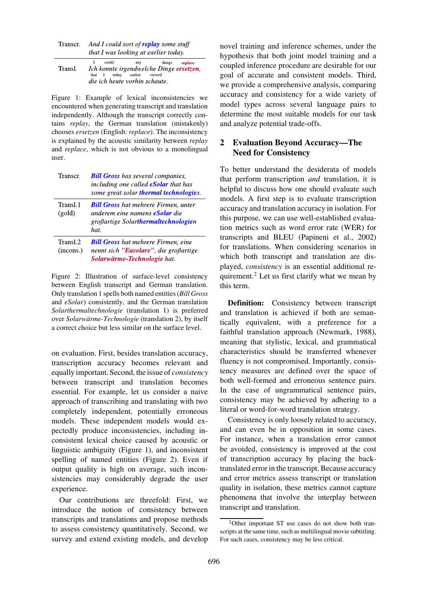| Transcr. | And I could sort of <b>replay</b> some stuff |
|----------|----------------------------------------------|
|          | that I was looking at earlier today.         |

|         | I could                                 | anv | things replace |
|---------|-----------------------------------------|-----|----------------|
| Transl. | Ich konnte irgendwelche Dinge ersetzen, |     |                |
|         | that I today earlier viewed             |     |                |
|         | die ich heute vorhin schaute.           |     |                |

<span id="page-1-0"></span>Figure 1: Example of lexical inconsistencies we encountered when generating transcript and translation independently. Although the transcript correctly contains *replay*, the German translation (mistakenly) chooses *ersetzen* (English: *replace*). The inconsistency is explained by the acoustic similarity between *replay* and *replace*, which is not obvious to a monolingual user.

| Transcr.              | <b>Bill Gross</b> has several companies,<br>including one called <b>eSolar</b> that has<br>some great solar thermal technologies.   |
|-----------------------|-------------------------------------------------------------------------------------------------------------------------------------|
| Transl.1<br>(gold)    | <b>Bill Gross</b> hat mehrere Firmen, unter<br>anderem eine namens <b>eSolar</b> die<br>großartige Solarthermaltechnologien<br>hat. |
| Transl.2<br>(incons.) | <b>Bill Gross</b> hat mehrere Firmen, eine<br>nennt sich "Easolare", die großartige<br>Solarwärme-Technologie hat.                  |

<span id="page-1-1"></span>Figure 2: Illustration of surface-level consistency between English transcript and German translation. Only translation 1 spells both named entities (*Bill Gross* and *eSolar*) consistently, and the German translation *Solarthermaltechnologie* (translation 1) is preferred over *Solarwärme-Technologie* (translation 2), by itself a correct choice but less similar on the surface level.

on evaluation. First, besides translation accuracy, transcription accuracy becomes relevant and equally important. Second, the issue of *consistency* between transcript and translation becomes essential. For example, let us consider a naive approach of transcribing and translating with two completely independent, potentially erroneous models. These independent models would expectedly produce inconsistencies, including inconsistent lexical choice caused by acoustic or linguistic ambiguity [\(Figure 1\)](#page-1-0), and inconsistent spelling of named entities [\(Figure 2\)](#page-1-1). Even if output quality is high on average, such inconsistencies may considerably degrade the user experience.

Our contributions are threefold: First, we introduce the notion of consistency between transcripts and translations and propose methods to assess consistency quantitatively. Second, we survey and extend existing models, and develop novel training and inference schemes, under the hypothesis that both joint model training and a coupled inference procedure are desirable for our goal of accurate and consistent models. Third, we provide a comprehensive analysis, comparing accuracy and consistency for a wide variety of model types across several language pairs to determine the most suitable models for our task and analyze potential trade-offs.

# <span id="page-1-3"></span>2 Evaluation Beyond Accuracy—The Need for Consistency

To better understand the desiderata of models that perform transcription *and* translation, it is helpful to discuss how one should evaluate such models. A first step is to evaluate transcription accuracy and translation accuracy in isolation. For this purpose, we can use well-established evaluation metrics such as word error rate (WER) for transcripts and BLEU [\(Papineni et al., 2002](#page-13-2)) for translations. When considering scenarios in which both transcript and translation are displayed, *consistency* is an essential additional requirement.[2](#page-1-2) Let us first clarify what we mean by this term.

Definition: Consistency between transcript and translation is achieved if both are semantically equivalent, with a preference for a faithful translation approach [\(Newmark](#page-13-3), [1988](#page-13-3)), meaning that stylistic, lexical, and grammatical characteristics should be transferred whenever fluency is not compromised. Importantly, consistency measures are defined over the space of both well-formed and erroneous sentence pairs. In the case of ungrammatical sentence pairs, consistency may be achieved by adhering to a literal or word-for-word translation strategy.

Consistency is only loosely related to accuracy, and can even be in opposition in some cases. For instance, when a translation error cannot be avoided, consistency is improved at the cost of transcription accuracy by placing the backtranslated error in the transcript. Because accuracy and error metrics assess transcript or translation quality in isolation, these metrics cannot capture phenomena that involve the interplay between transcript and translation.

<span id="page-1-2"></span><sup>2</sup>Other important ST use cases do not show both transcripts at the same time, such as multilingual movie subtitling. For such cases, consistency may be less critical.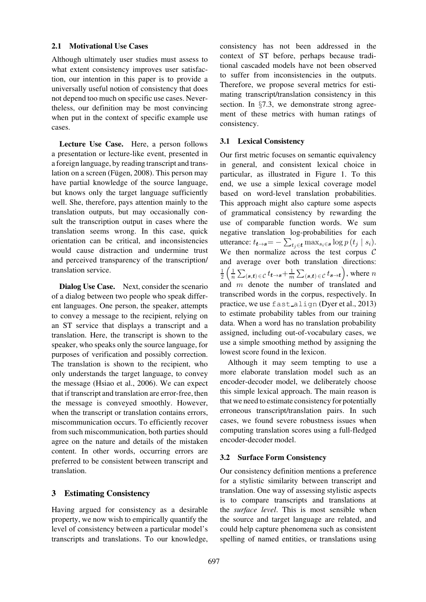### <span id="page-2-0"></span>2.1 Motivational Use Cases

Although ultimately user studies must assess to what extent consistency improves user satisfaction, our intention in this paper is to provide a universally useful notion of consistency that does not depend too much on specific use cases. Nevertheless, our definition may be most convincing when put in the context of specific example use cases.

Lecture Use Case. Here, a person follows a presentation or lecture-like event, presented in a foreign language, by reading transcript and translation on a screen (Fügen, 2008). This person may have partial knowledge of the source language, but knows only the target language sufficiently well. She, therefore, pays attention mainly to the translation outputs, but may occasionally consult the transcription output in cases where the translation seems wrong. In this case, quick orientation can be critical, and inconsistencies would cause distraction and undermine trust and perceived transparency of the transcription/ translation service.

Dialog Use Case. Next, consider the scenario of a dialog between two people who speak different languages. One person, the speaker, attempts to convey a message to the recipient, relying on an ST service that displays a transcript and a translation. Here, the transcript is shown to the speaker, who speaks only the source language, for purposes of verification and possibly correction. The translation is shown to the recipient, who only understands the target language, to convey the message [\(Hsiao et al.](#page-13-1), [2006\)](#page-13-1). We can expect that if transcript and translation are error-free, then the message is conveyed smoothly. However, when the transcript or translation contains errors, miscommunication occurs. To efficiently recover from such miscommunication, both parties should agree on the nature and details of the mistaken content. In other words, occurring errors are preferred to be consistent between transcript and translation.

### <span id="page-2-1"></span>3 Estimating Consistency

Having argued for consistency as a desirable property, we now wish to empirically quantify the level of consistency between a particular model's transcripts and translations. To our knowledge,

consistency has not been addressed in the context of ST before, perhaps because traditional cascaded models have not been observed to suffer from inconsistencies in the outputs. Therefore, we propose several metrics for estimating transcript/translation consistency in this section. In §[7.3,](#page-9-0) we demonstrate strong agreement of these metrics with human ratings of consistency.

### <span id="page-2-3"></span>3.1 Lexical Consistency

Our first metric focuses on semantic equivalency in general, and consistent lexical choice in particular, as illustrated in [Figure 1.](#page-1-0) To this end, we use a simple lexical coverage model based on word-level translation probabilities. This approach might also capture some aspects of grammatical consistency by rewarding the use of comparable function words. We sum negative translation log-probabilities for each utterance:  $t_{\boldsymbol{t}\rightarrow\boldsymbol{s}}{=}-\sum_{t_j\in\boldsymbol{t}}\max_{s_i\in\boldsymbol{s}}\log p\left(t_j\mid s_i\right)$ . We then normalize across the test corpus  $C$ and average over both translation directions: 1  $\frac{1}{2} \left( \frac{1}{n} \sum_{(\bm{s},\bm{t}) \in \mathcal{C}} t_{\bm{t} \to \bm{s}} + \frac{1}{m} \sum_{(\bm{s},\bm{t}) \in \mathcal{C}} t_{\bm{s} \to \bm{t}} \right)$ , where  $n$ and  $m$  denote the number of translated and transcribed words in the corpus, respectively. In practice, we use fast\_align [\(Dyer et al., 2013](#page-12-1)) to estimate probability tables from our training data. When a word has no translation probability assigned, including out-of-vocabulary cases, we use a simple smoothing method by assigning the lowest score found in the lexicon.

Although it may seem tempting to use a more elaborate translation model such as an encoder-decoder model, we deliberately choose this simple lexical approach. The main reason is that we need to estimate consistency for potentially erroneous transcript/translation pairs. In such cases, we found severe robustness issues when computing translation scores using a full-fledged encoder-decoder model.

#### <span id="page-2-2"></span>3.2 Surface Form Consistency

Our consistency definition mentions a preference for a stylistic similarity between transcript and translation. One way of assessing stylistic aspects is to compare transcripts and translations at the *surface level*. This is most sensible when the source and target language are related, and could help capture phenomena such as consistent spelling of named entities, or translations using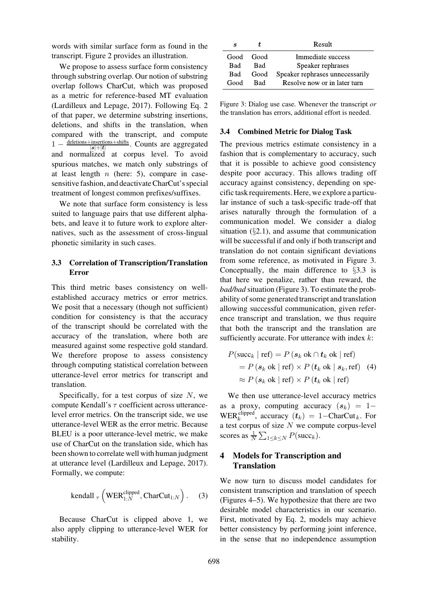words with similar surface form as found in the transcript. [Figure 2](#page-1-1) provides an illustration.

We propose to assess surface form consistency through substring overlap. Our notion of substring overlap follows CharCut, which was proposed as a metric for reference-based MT evaluation [\(Lardilleux and Lepage, 2017](#page-13-4)). Following Eq. [2](#page-0-2) of that paper, we determine substring insertions, deletions, and shifts in the translation, when compared with the transcript, and compute  $1 - \frac{\text{deletions} + \text{insertions} + \text{shifts}}{\text{let} + \text{let}}$ . Counts are aggregated  $|\bm{s}|{+}|\bm{t}$ and normalized at corpus level. To avoid spurious matches, we match only substrings of at least length  $n$  (here: 5), compare in casesensitive fashion, and deactivate CharCut's special treatment of longest common prefixes/suffixes.

We note that surface form consistency is less suited to language pairs that use different alphabets, and leave it to future work to explore alternatives, such as the assessment of cross-lingual phonetic similarity in such cases.

# <span id="page-3-1"></span>3.3 Correlation of Transcription/Translation Error

This third metric bases consistency on wellestablished accuracy metrics or error metrics. We posit that a necessary (though not sufficient) condition for consistency is that the accuracy of the transcript should be correlated with the accuracy of the translation, where both are measured against some respective gold standard. We therefore propose to assess consistency through computing statistical correlation between utterance-level error metrics for transcript and translation.

Specifically, for a test corpus of size  $N$ , we compute Kendall's  $\tau$  coefficient across utterancelevel error metrics. On the transcript side, we use utterance-level WER as the error metric. Because BLEU is a poor utterance-level metric, we make use of CharCut on the translation side, which has been shown to correlate well with human judgment at utterance level [\(Lardilleux and Lepage, 2017\)](#page-13-4). Formally, we compute:

$$
kendall_{\tau}\left(WER_{1:N}^{clipped},CharCut_{1:N}\right). (3)
$$

Because CharCut is clipped above 1, we also apply clipping to utterance-level WER for stability.

| S         | Ť    | Result                          |
|-----------|------|---------------------------------|
| Good Good |      | Immediate success               |
| Bad       | Bad  | Speaker rephrases               |
| Bad       | Good | Speaker rephrases unnecessarily |
| Good      | Rad  | Resolve now or in later turn    |

<span id="page-3-0"></span>Figure 3: Dialog use case. Whenever the transcript *or* the translation has errors, additional effort is needed.

## <span id="page-3-2"></span>3.4 Combined Metric for Dialog Task

The previous metrics estimate consistency in a fashion that is complementary to accuracy, such that it is possible to achieve good consistency despite poor accuracy. This allows trading off accuracy against consistency, depending on specific task requirements. Here, we explore a particular instance of such a task-specific trade-off that arises naturally through the formulation of a communication model. We consider a dialog situation  $(\S 2.1)$  $(\S 2.1)$ , and assume that communication will be successful if and only if both transcript and translation do not contain significant deviations from some reference, as motivated in [Figure 3.](#page-3-0) Conceptually, the main difference to §[3.3](#page-3-1) is that here we penalize, rather than reward, the *bad/bad* situation [\(Figure 3\)](#page-3-0). To estimate the probability of some generated transcript and translation allowing successful communication, given reference transcript and translation, we thus require that both the transcript and the translation are sufficiently accurate. For utterance with index  $k$ :

$$
P(\text{succ}_k | \text{ref}) = P(s_k \text{ ok} \cap t_k \text{ ok} | \text{ref})
$$
  
= 
$$
P(s_k \text{ ok} | \text{ref}) \times P(t_k \text{ ok} | s_k, \text{ref})
$$
 (4)  

$$
\approx P(s_k \text{ ok} | \text{ref}) \times P(t_k \text{ ok} | \text{ref})
$$

We then use utterance-level accuracy metrics as a proxy, computing accuracy  $(s_k) = 1-$ WER<sup>clipped</sup>, accuracy  $(t_k) = 1 - \text{CharCut}_k$ . For a test corpus of size  $N$  we compute corpus-level scores as  $\frac{1}{N} \sum_{1 \leq k \leq N} P(\text{succ}_k)$ .

# 4 Models for Transcription and Translation

We now turn to discuss model candidates for consistent transcription and translation of speech [\(Figures 4–](#page-4-0)[5\)](#page-4-1). We hypothesize that there are two desirable model characteristics in our scenario. First, motivated by Eq. [2,](#page-0-2) models may achieve better consistency by performing joint inference, in the sense that no independence assumption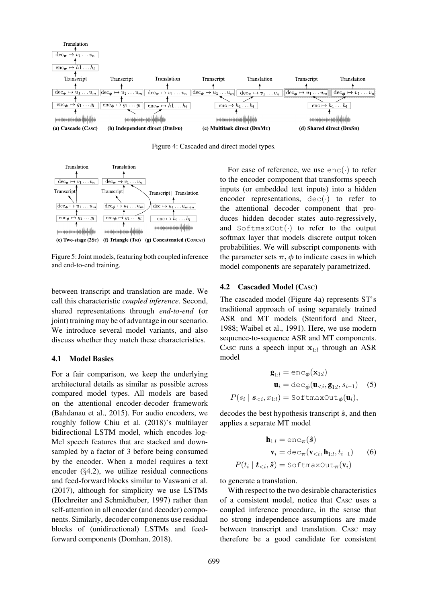

<span id="page-4-0"></span>Figure 4: Cascaded and direct model types.



<span id="page-4-1"></span>Figure 5: Joint models, featuring both coupled inference and end-to-end training.

between transcript and translation are made. We call this characteristic *coupled inference*. Second, shared representations through *end-to-end* (or joint) training may be of advantage in our scenario. We introduce several model variants, and also discuss whether they match these characteristics.

### 4.1 Model Basics

For a fair comparison, we keep the underlying architectural details as similar as possible across compared model types. All models are based on the attentional encoder-decoder framework [\(Bahdanau et al., 2015](#page-12-2)). For audio encoders, we roughly follow [Chiu et al. \(2018](#page-12-3))'s multilayer bidirectional LSTM model, which encodes log-Mel speech features that are stacked and downsampled by a factor of 3 before being consumed by the encoder. When a model requires a text encoder (§[4.2\)](#page-4-2), we utilize residual connections and feed-forward blocks similar to [Vaswani et al.](#page-14-4) [\(2017\)](#page-14-4), although for simplicity we use LSTMs [\(Hochreiter and Schmidhuber](#page-13-5), [1997](#page-13-5)) rather than self-attention in all encoder (and decoder) components. Similarly, decoder components use residual blocks of (unidirectional) LSTMs and feedforward components [\(Domhan](#page-12-4), [2018\)](#page-12-4).

For ease of reference, we use  $enc(\cdot)$  to refer to the encoder component that transforms speech inputs (or embedded text inputs) into a hidden encoder representations,  $dec(\cdot)$  to refer to the attentional decoder component that produces hidden decoder states auto-regressively, and  $SoftmaxOut(\cdot)$  to refer to the output softmax layer that models discrete output token probabilities. We will subscript components with the parameter sets  $\pi$ ,  $\phi$  to indicate cases in which model components are separately parametrized.

#### <span id="page-4-2"></span>4.2 Cascaded Model (CASC)

The cascaded model [\(Figure 4a\)](#page-4-0) represents ST's traditional approach of using separately trained ASR and MT models [\(Stentiford and Steer,](#page-14-0) [1988](#page-14-0); [Waibel et al., 1991\)](#page-14-1). Here, we use modern sequence-to-sequence ASR and MT components. CASC runs a speech input  $x_{1:l}$  through an ASR model

<span id="page-4-3"></span>
$$
\mathbf{g}_{1:l} = \text{enc}_{\phi}(\mathbf{x}_{1:l})
$$

$$
\mathbf{u}_{i} = \text{dec}_{\phi}(\mathbf{u}_{
$$
P(s_{i} | s_{
$$
$$

decodes the best hypothesis transcript  $\hat{s}$ , and then applies a separate MT model

$$
\mathbf{h}_{1:l} = \text{enc}_{\boldsymbol{\pi}}(\hat{s})
$$

$$
\mathbf{v}_{i} = \text{dec}_{\boldsymbol{\pi}}(\mathbf{v}_{(6)
$$
P(t_{i} | \mathbf{t}_{
$$
$$

to generate a translation.

With respect to the two desirable characteristics of a consistent model, notice that CASC uses a coupled inference procedure, in the sense that no strong independence assumptions are made between transcript and translation. CASC may therefore be a good candidate for consistent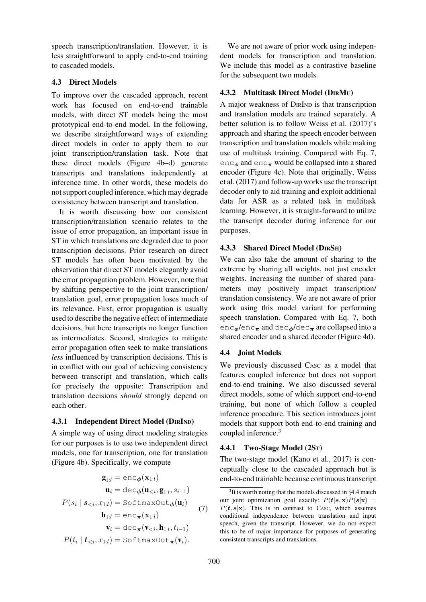speech transcription/translation. However, it is less straightforward to apply end-to-end training to cascaded models.

# 4.3 Direct Models

To improve over the cascaded approach, recent work has focused on end-to-end trainable models, with direct ST models being the most prototypical end-to-end model. In the following, we describe straightforward ways of extending direct models in order to apply them to our joint transcription/translation task. Note that these direct models [\(Figure 4b–d\)](#page-4-0) generate transcripts and translations independently at inference time. In other words, these models do not support coupled inference, which may degrade consistency between transcript and translation.

It is worth discussing how our consistent transcription/translation scenario relates to the issue of error propagation, an important issue in ST in which translations are degraded due to poor transcription decisions. Prior research on direct ST models has often been motivated by the observation that direct ST models elegantly avoid the error propagation problem. However, note that by shifting perspective to the joint transcription/ translation goal, error propagation loses much of its relevance. First, error propagation is usually used to describe the negative effect of intermediate decisions, but here transcripts no longer function as intermediates. Second, strategies to mitigate error propagation often seek to make translations *less* influenced by transcription decisions. This is in conflict with our goal of achieving consistency between transcript and translation, which calls for precisely the opposite: Transcription and translation decisions *should* strongly depend on each other.

# <span id="page-5-3"></span>4.3.1 Independent Direct Model (DIRIND)

A simple way of using direct modeling strategies for our purposes is to use two independent direct models, one for transcription, one for translation [\(Figure 4b\)](#page-4-0). Specifically, we compute

<span id="page-5-0"></span>
$$
\mathbf{g}_{1:l} = \text{enc}_{\phi}(\mathbf{x}_{1:l})
$$
\n
$$
\mathbf{u}_{i} = \text{dec}_{\phi}(\mathbf{u}_{\n
$$
P(s_{i} | s_{\n
$$
\mathbf{h}_{1:l} = \text{enc}_{\pi}(\mathbf{x}_{1:l})
$$
\n
$$
\mathbf{v}_{i} = \text{dec}_{\pi}(\mathbf{v}_{\n
$$
P(t_{i} | t_{\n(7)
$$
$$
$$
$$

We are not aware of prior work using independent models for transcription and translation. We include this model as a contrastive baseline for the subsequent two models.

# <span id="page-5-4"></span>4.3.2 Multitask Direct Model (DIRMU)

A major weakness of DIRIND is that transcription and translation models are trained separately. A better solution is to follow [Weiss et al. \(2017](#page-14-2))'s approach and sharing the speech encoder between transcription and translation models while making use of multitask training. Compared with Eq. [7,](#page-5-0) enc<sub>φ</sub> and enc<sub>π</sub> would be collapsed into a shared encoder [\(Figure 4c\)](#page-4-0). Note that originally, Weiss et al. [\(2017](#page-14-2)) and follow-up works use the transcript decoder only to aid training and exploit additional data for ASR as a related task in multitask learning. However, it is straight-forward to utilize the transcript decoder during inference for our purposes.

# <span id="page-5-5"></span>4.3.3 Shared Direct Model (DIRSH)

We can also take the amount of sharing to the extreme by sharing all weights, not just encoder weights. Increasing the number of shared parameters may positively impact transcription/ translation consistency. We are not aware of prior work using this model variant for performing speech translation. Compared with Eq. [7,](#page-5-0) both  $enc_{\phi}/enc_{\pi}$  and dec<sub> $\phi$ </sub>/dec<sub>π</sub> are collapsed into a shared encoder and a shared decoder [\(Figure 4d\)](#page-4-0).

# <span id="page-5-2"></span>4.4 Joint Models

We previously discussed C<sub>ASC</sub> as a model that features coupled inference but does not support end-to-end training. We also discussed several direct models, some of which support end-to-end training, but none of which follow a coupled inference procedure. This section introduces joint models that support both end-to-end training and coupled inference.[3](#page-5-1)

# <span id="page-5-6"></span>4.4.1 Two-Stage Model (2ST)

The two-stage model [\(Kano et al.](#page-13-6), [2017\)](#page-13-6) is conceptually close to the cascaded approach but is end-to-end trainable because continuous transcript

<span id="page-5-1"></span> $3$ It is worth noting that the models discussed in  $\S 4.4$  $\S 4.4$  match our joint optimization goal exactly:  $P(t|s, x)P(s|x) =$  $P(t, s|x)$ . This is in contrast to CASC, which assumes conditional independence between translation and input speech, given the transcript. However, we do not expect this to be of major importance for purposes of generating consistent transcripts and translations.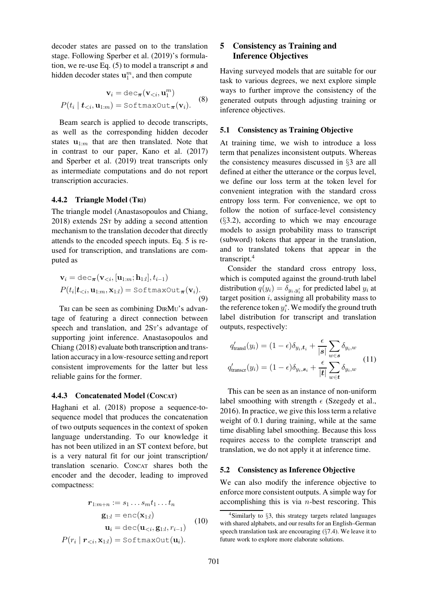decoder states are passed on to the translation stage. Following [Sperber et al. \(2019](#page-14-5))'s formulation, we re-use Eq.  $(5)$  to model a transcript s and hidden decoder states  $\mathbf{u}_1^m$ , and then compute

$$
\mathbf{v}_{i} = \text{dec}_{\boldsymbol{\pi}}(\mathbf{v}_{  

$$
P(t_{i} | \mathbf{t}_{ (8)
$$
$$

Beam search is applied to decode transcripts, as well as the corresponding hidden decoder states  $\mathbf{u}_{1:m}$  that are then translated. Note that in contrast to our paper, [Kano et al.](#page-13-6) [\(2017\)](#page-13-6) and [Sperber et al.](#page-14-5) [\(2019\)](#page-14-5) treat transcripts only as intermediate computations and do not report transcription accuracies.

### <span id="page-6-1"></span>4.4.2 Triangle Model (TRI)

The triangle model [\(Anastasopoulos and Chiang,](#page-11-0) [2018](#page-11-0)) extends 2ST by adding a second attention mechanism to the translation decoder that directly attends to the encoded speech inputs. Eq. [5](#page-4-3) is reused for transcription, and translations are computed as

$$
\mathbf{v}_{i} = \text{dec}_{\boldsymbol{\pi}}(\mathbf{v}_{  

$$
P(t_{i}|\mathbf{t}_{  
(9)
$$
$$

TRI can be seen as combining DIRMU's advantage of featuring a direct connection between speech and translation, and 2ST's advantage of supporting joint inference. Anastasopoulos and Chiang [\(2018\)](#page-11-0) evaluate both transcription and translation accuracy in a low-resource setting and report consistent improvements for the latter but less reliable gains for the former.

#### <span id="page-6-2"></span>4.4.3 Concatenated Model (CONCAT)

Haghani et al. [\(2018](#page-12-5)) propose a sequence-tosequence model that produces the concatenation of two outputs sequences in the context of spoken language understanding. To our knowledge it has not been utilized in an ST context before, but is a very natural fit for our joint transcription/ translation scenario. CONCAT shares both the encoder and the decoder, leading to improved compactness:

$$
\mathbf{r}_{1:m+n} := s_1 \dots s_m t_1 \dots t_n
$$

$$
\mathbf{g}_{1:l} = \text{enc}(\mathbf{x}_{1:l})
$$

$$
\mathbf{u}_i = \text{dec}(\mathbf{u}_{< i}, \mathbf{g}_{1:l}, r_{i-1})
$$

$$
P(r_i \mid \mathbf{r}_{< i}, \mathbf{x}_{1:l}) = \text{SoftmaxOut}(\mathbf{u}_i).
$$
 (10)

# <span id="page-6-5"></span>5 Consistency as Training and Inference Objectives

Having surveyed models that are suitable for our task to various degrees, we next explore simple ways to further improve the consistency of the generated outputs through adjusting training or inference objectives.

### <span id="page-6-3"></span>5.1 Consistency as Training Objective

At training time, we wish to introduce a loss term that penalizes inconsistent outputs. Whereas the consistency measures discussed in §[3](#page-2-1) are all defined at either the utterance or the corpus level, we define our loss term at the token level for convenient integration with the standard cross entropy loss term. For convenience, we opt to follow the notion of surface-level consistency  $(\S3.2)$  $(\S3.2)$ , according to which we may encourage models to assign probability mass to transcript (subword) tokens that appear in the translation, and to translated tokens that appear in the transcript.[4](#page-6-0)

Consider the standard cross entropy loss, which is computed against the ground-truth label distribution  $q(y_i) = \delta_{y_i, y_i^*}$  for predicted label  $y_i$  at target position  $i$ , assigning all probability mass to the reference token  $y_i^*$ . We modify the ground truth label distribution for transcript and translation outputs, respectively:

$$
q'_{\text{transl}}(y_i) = (1 - \epsilon)\delta_{y_i, t_i} + \frac{\epsilon}{|s|} \sum_{w \in s} \delta_{y_i, w}
$$
  

$$
q'_{\text{transcr}}(y_i) = (1 - \epsilon)\delta_{y_i, s_i} + \frac{\epsilon}{|t|} \sum_{w \in t} \delta_{y_i, w}
$$
 (11)

This can be seen as an instance of non-uniform label smoothing with strength  $\epsilon$  [\(Szegedy et al.,](#page-14-6) [2016](#page-14-6)). In practice, we give this loss term a relative weight of 0.1 during training, while at the same time disabling label smoothing. Because this loss requires access to the complete transcript and translation, we do not apply it at inference time.

#### <span id="page-6-4"></span>5.2 Consistency as Inference Objective

We can also modify the inference objective to enforce more consistent outputs. A simple way for accomplishing this is via  $n$ -best rescoring. This

<span id="page-6-0"></span><sup>4</sup>Similarly to §[3,](#page-2-1) this strategy targets related languages with shared alphabets, and our results for an English–German speech translation task are encouraging (§[7.4\)](#page-10-0). We leave it to future work to explore more elaborate solutions.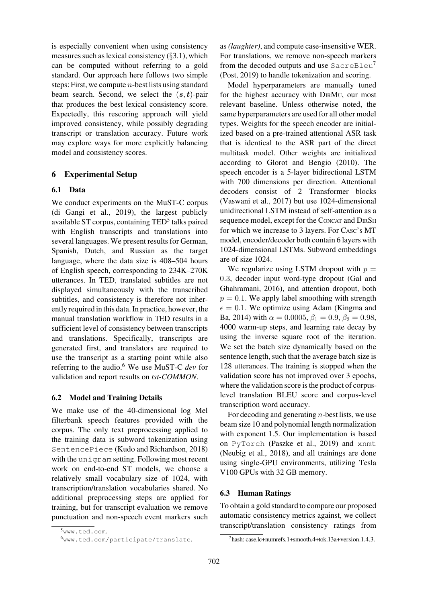is especially convenient when using consistency measures such as lexical consistency  $(\S 3.1)$  $(\S 3.1)$ , which can be computed without referring to a gold standard. Our approach here follows two simple steps: First, we compute  $n$ -best lists using standard beam search. Second, we select the  $(s, t)$ -pair that produces the best lexical consistency score. Expectedly, this rescoring approach will yield improved consistency, while possibly degrading transcript or translation accuracy. Future work may explore ways for more explicitly balancing model and consistency scores.

# 6 Experimental Setup

# 6.1 Data

We conduct experiments on the MuST-C corpus [\(di Gangi et al.](#page-12-6), [2019](#page-12-6)), the largest publicly available ST corpus, containing TED<sup>[5](#page-7-0)</sup> talks paired with English transcripts and translations into several languages. We present results for German, Spanish, Dutch, and Russian as the target language, where the data size is 408–504 hours of English speech, corresponding to 234K–270K utterances. In TED, translated subtitles are not displayed simultaneously with the transcribed subtitles, and consistency is therefore not inherently required in this data. In practice, however, the manual translation workflow in TED results in a sufficient level of consistency between transcripts and translations. Specifically, transcripts are generated first, and translators are required to use the transcript as a starting point while also referring to the audio.[6](#page-7-1) We use MuST-C *dev* for validation and report results on *tst-COMMON*.

### 6.2 Model and Training Details

We make use of the 40-dimensional log Mel filterbank speech features provided with the corpus. The only text preprocessing applied to the training data is subword tokenization using SentencePiece [\(Kudo and Richardson, 2018\)](#page-13-7) with the unigram setting. Following most recent work on end-to-end ST models, we choose a relatively small vocabulary size of 1024, with transcription/translation vocabularies shared. No additional preprocessing steps are applied for training, but for transcript evaluation we remove punctuation and non-speech event markers such as *(laughter)*, and compute case-insensitive WER. For translations, we remove non-speech markers from the decoded outputs and use SacreBleu<sup>[7](#page-7-2)</sup> [\(Post, 2019](#page-14-7)) to handle tokenization and scoring.

Model hyperparameters are manually tuned for the highest accuracy with DIRMU, our most relevant baseline. Unless otherwise noted, the same hyperparameters are used for all other model types. Weights for the speech encoder are initialized based on a pre-trained attentional ASR task that is identical to the ASR part of the direct multitask model. Other weights are initialized according to [Glorot and Bengio \(2010](#page-12-7)). The speech encoder is a 5-layer bidirectional LSTM with 700 dimensions per direction. Attentional decoders consist of 2 Transformer blocks [\(Vaswani et al., 2017](#page-14-4)) but use 1024-dimensional unidirectional LSTM instead of self-attention as a sequence model, except for the CONCAT and DIRSH for which we increase to 3 layers. For CASC's MT model, encoder/decoder both contain 6 layers with 1024-dimensional LSTMs. Subword embeddings are of size 1024.

We regularize using LSTM dropout with  $p =$ 0.3, decoder input word-type dropout (Gal and Ghahramani, [2016\)](#page-12-8), and attention dropout, both  $p = 0.1$ . We apply label smoothing with strength  $\epsilon = 0.1$ [. We optimize using Adam \(](#page-13-8)Kingma and Ba, [2014](#page-13-8)) with  $\alpha = 0.0005$ ,  $\beta_1 = 0.9$ ,  $\beta_2 = 0.98$ , 4000 warm-up steps, and learning rate decay by using the inverse square root of the iteration. We set the batch size dynamically based on the sentence length, such that the average batch size is 128 utterances. The training is stopped when the validation score has not improved over 3 epochs, where the validation score is the product of corpuslevel translation BLEU score and corpus-level transcription word accuracy.

For decoding and generating  $n$ -best lists, we use beam size 10 and polynomial length normalization with exponent 1.5. Our implementation is based on PyTorch [\(Paszke et al., 2019\)](#page-13-9) and xnmt [\(Neubig et al., 2018\)](#page-13-10), and all trainings are done using single-GPU environments, utilizing Tesla V100 GPUs with 32 GB memory.

### <span id="page-7-3"></span>6.3 Human Ratings

To obtain a gold standard to compare our proposed automatic consistency metrics against, we collect transcript/translation consistency ratings from

<sup>5</sup>[www.ted.com](http://www.ted.com).

<span id="page-7-1"></span><span id="page-7-0"></span><sup>6</sup>[www.ted.com/participate/translate](http://www.ted.com/participate/translate).

<span id="page-7-2"></span><sup>7</sup>hash: case.lc+numrefs.1+smooth.4+tok.13a+version.1.4.3.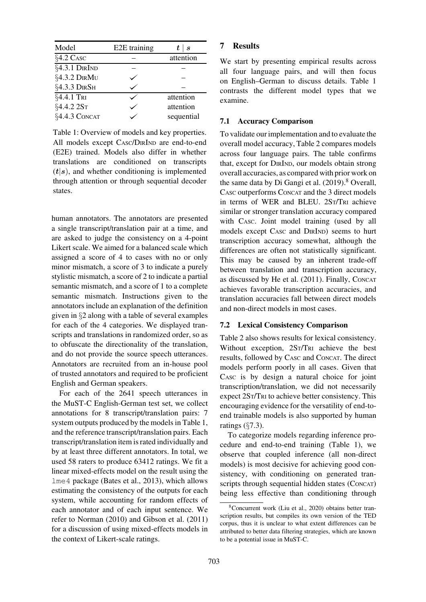| Model         | E2E training | $t \mid s$ |
|---------------|--------------|------------|
| §4.2 CASC     |              | attention  |
| §4.3.1 DIRIND |              |            |
| §4.3.2 DIRMU  |              |            |
| §4.3.3 DIRSH  |              |            |
| §4.4.1 TRI    |              | attention  |
| §4.4.2 2ST    |              | attention  |
| §4.4.3 CONCAT |              | sequential |

<span id="page-8-0"></span>Table 1: Overview of models and key properties. All models except CASC/DIRIND are end-to-end (E2E) trained. Models also differ in whether translations are conditioned on transcripts  $(t|s)$ , and whether conditioning is implemented through attention or through sequential decoder states.

human annotators. The annotators are presented a single transcript/translation pair at a time, and are asked to judge the consistency on a 4-point Likert scale. We aimed for a balanced scale which assigned a score of 4 to cases with no or only minor mismatch, a score of 3 to indicate a purely stylistic mismatch, a score of 2 to indicate a partial semantic mismatch, and a score of 1 to a complete semantic mismatch. Instructions given to the annotators include an explanation of the definition given in §[2](#page-1-3) along with a table of several examples for each of the 4 categories. We displayed transcripts and translations in randomized order, so as to obfuscate the directionality of the translation, and do not provide the source speech utterances. Annotators are recruited from an in-house pool of trusted annotators and required to be proficient English and German speakers.

For each of the 2641 speech utterances in the MuST-C English-German test set, we collect annotations for 8 transcript/translation pairs: 7 system outputs produced by the models in [Table 1,](#page-8-0) and the reference transcript/translation pairs. Each transcript/translation item is rated individually and by at least three different annotators. In total, we used 58 raters to produce 63412 ratings. We fit a linear mixed-effects model on the result using the lme4 package [\(Bates et al., 2013](#page-12-9)), which allows estimating the consistency of the outputs for each system, while accounting for random effects of each annotator and of each input sentence. We refer to [Norman](#page-13-11) [\(2010\)](#page-13-11) and [Gibson et al.](#page-12-10) [\(2011\)](#page-12-10) for a discussion of using mixed-effects models in the context of Likert-scale ratings.

## 7 Results

We start by presenting empirical results across all four language pairs, and will then focus on English–German to discuss details. [Table 1](#page-8-0) contrasts the different model types that we examine.

## 7.1 Accuracy Comparison

To validate our implementation and to evaluate the overall model accuracy, [Table 2](#page-9-1) compares models across four language pairs. The table confirms that, except for DIRIND, our models obtain strong overall accuracies, as compared with prior work on the same data by Di Gangi et al.  $(2019)^8$  $(2019)^8$  Overall, CASC outperforms CONCAT and the 3 direct models in terms of WER and BLEU. 2ST/TRI achieve similar or stronger translation accuracy compared with CASC. Joint model training (used by all models except CASC and DIRIND) seems to hurt transcription accuracy somewhat, although the differences are often not statistically significant. This may be caused by an inherent trade-off between translation and transcription accuracy, as discussed by [He et al.](#page-12-12) [\(2011\)](#page-12-12). Finally, CONCAT achieves favorable transcription accuracies, and translation accuracies fall between direct models and non-direct models in most cases.

# 7.2 Lexical Consistency Comparison

[Table 2](#page-9-1) also shows results for lexical consistency. Without exception, 2ST/TRI achieve the best results, followed by CASC and CONCAT. The direct models perform poorly in all cases. Given that CASC is by design a natural choice for joint transcription/translation, we did not necessarily expect 2ST/TRI to achieve better consistency. This encouraging evidence for the versatility of end-toend trainable models is also supported by human ratings  $(\S7.3)$  $(\S7.3)$ .

To categorize models regarding inference procedure and end-to-end training [\(Table 1\)](#page-8-0), we observe that coupled inference (all non-direct models) is most decisive for achieving good consistency, with conditioning on generated transcripts through sequential hidden states (CONCAT) being less effective than conditioning through

<span id="page-8-1"></span><sup>8</sup>Concurrent work [\(Liu et al., 2020](#page-13-12)) obtains better transcription results, but compiles its own version of the TED corpus, thus it is unclear to what extent differences can be attributed to better data filtering strategies, which are known to be a potential issue in MuST-C.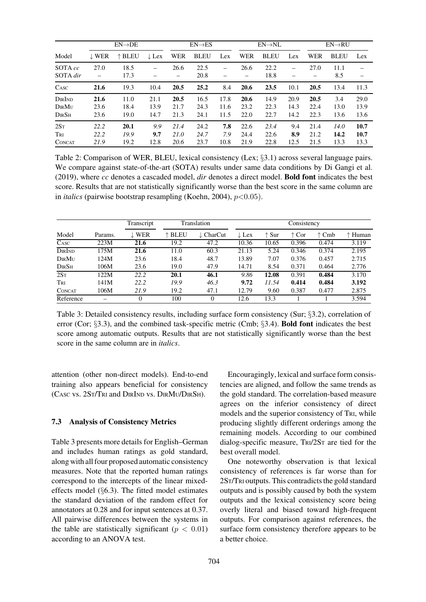|                                         | $EN\rightarrow DE$   |                      |                      | $EN \rightarrow ES$  |                      | $EN \rightarrow NL$  |                      |                      | $EN\rightarrow RU$   |                      |                      |                      |
|-----------------------------------------|----------------------|----------------------|----------------------|----------------------|----------------------|----------------------|----------------------|----------------------|----------------------|----------------------|----------------------|----------------------|
| Model                                   | $\downarrow$ WER     | $\uparrow$ BLEU      | $\downarrow$ Lex     | WER                  | <b>BLEU</b>          | Lex                  | WER                  | <b>BLEU</b>          | Lex                  | WER                  | <b>BLEU</b>          | Lex                  |
| SOTA cc<br>SOTA dir                     | 27.0                 | 18.5<br>17.3         |                      | 26.6                 | 22.5<br>20.8         |                      | 26.6                 | 22.2<br>18.8         |                      | 27.0                 | 11.1<br>8.5          |                      |
| CASC                                    | 21.6                 | 19.3                 | 10.4                 | 20.5                 | 25.2                 | 8.4                  | 20.6                 | 23.5                 | 10.1                 | 20.5                 | 13.4                 | 11.3                 |
| DIRIND<br>DirMu<br>$D$ ir $S$ h         | 21.6<br>23.6<br>23.6 | 11.0<br>18.4<br>19.0 | 21.1<br>13.9<br>14.7 | 20.5<br>21.7<br>21.3 | 16.5<br>24.3<br>24.1 | 17.8<br>11.6<br>11.5 | 20.6<br>23.2<br>22.0 | 14.9<br>22.3<br>22.7 | 20.9<br>14.3<br>14.2 | 20.5<br>22.4<br>22.3 | 3.4<br>13.0<br>13.6  | 29.0<br>13.9<br>13.6 |
| 2S <sub>T</sub><br>Tri<br><b>CONCAT</b> | 22.2<br>22.2<br>21.9 | 20.1<br>19.9<br>19.2 | 9.9<br>9.7<br>12.8   | 21.4<br>21.0<br>20.6 | 24.2<br>24.7<br>23.7 | 7.8<br>7.9<br>10.8   | 22.6<br>24.4<br>21.9 | 23.4<br>22.6<br>22.8 | 9.4<br>8.9<br>12.5   | 21.4<br>21.2<br>21.5 | 14.0<br>14.2<br>13.3 | 10.7<br>10.7<br>13.3 |

<span id="page-9-1"></span>Table 2: Comparison of WER, BLEU, lexical consistency (Lex; §[3.1\)](#page-2-3) across several language pairs. We compare against state-of-the-art (SOTA) results under same data conditions by [Di Gangi et al.](#page-12-11) [\(2019\)](#page-12-11), where *cc* denotes a cascaded model, *dir* denotes a direct model. Bold font indicates the best score. Results that are not statistically significantly worse than the best score in the same column are in *italics* (pairwise bootstrap resampling [\(Koehn](#page-13-13), [2004\)](#page-13-13),  $p<0.05$ ).

|                 |         | Transcript       |                 | Translation          |                  |                | Consistency    |                |         |
|-----------------|---------|------------------|-----------------|----------------------|------------------|----------------|----------------|----------------|---------|
| Model           | Params. | $\downarrow$ WER | $\uparrow$ BLEU | $\downarrow$ CharCut | $\downarrow$ Lex | $\uparrow$ Sur | $\uparrow$ Cor | $\uparrow$ Cmb | ↑ Human |
| CASC            | 223M    | 21.6             | 19.2            | 47.2                 | 10.36            | 10.65          | 0.396          | 0.474          | 3.119   |
| DIRIND          | 175M    | 21.6             | 11.0            | 60.3                 | 21.13            | 5.24           | 0.346          | 0.374          | 2.195   |
| DIRMU           | 124M    | 23.6             | 18.4            | 48.7                 | 13.89            | 7.07           | 0.376          | 0.457          | 2.715   |
| $D$ IR $S$ h    | 106M    | 23.6             | 19.0            | 47.9                 | 14.71            | 8.54           | 0.371          | 0.464          | 2.776   |
| 2S <sub>T</sub> | 122M    | 22.2             | 20.1            | 46.1                 | 9.86             | 12.08          | 0.391          | 0.484          | 3.170   |
| Tri             | 141M    | 22.2             | 19.9            | 46.3                 | 9.72             | 11.54          | 0.414          | 0.484          | 3.192   |
| <b>CONCAT</b>   | 106M    | 21.9             | 19.2            | 47.1                 | 12.79            | 9.60           | 0.387          | 0.477          | 2.875   |
| Reference       |         | $\Omega$         | 100             | $\Omega$             | 12.6             | 13.3           |                |                | 3.594   |

<span id="page-9-2"></span>Table 3: Detailed consistency results, including surface form consistency (Sur; §[3.2\)](#page-2-2), correlation of error (Cor; §[3.3\)](#page-3-1), and the combined task-specific metric (Cmb; §[3.4\)](#page-3-2). Bold font indicates the best score among automatic outputs. Results that are not statistically significantly worse than the best score in the same column are in *italics*.

attention (other non-direct models). End-to-end training also appears beneficial for consistency (CASC vs. 2ST/TRI and DIRIND vs. DIRMU/DIRSH).

#### <span id="page-9-0"></span>7.3 Analysis of Consistency Metrics

[Table 3](#page-9-2) presents more details for English–German and includes human ratings as gold standard, along with all four proposed automatic consistency measures. Note that the reported human ratings correspond to the intercepts of the linear mixedeffects model (§[6.3\)](#page-7-3). The fitted model estimates the standard deviation of the random effect for annotators at 0.28 and for input sentences at 0.37. All pairwise differences between the systems in the table are statistically significant ( $p < 0.01$ ) according to an ANOVA test.

Encouragingly, lexical and surface form consistencies are aligned, and follow the same trends as the gold standard. The correlation-based measure agrees on the inferior consistency of direct models and the superior consistency of TRI, while producing slightly different orderings among the remaining models. According to our combined dialog-specific measure, TRI/2S<sup>T</sup> are tied for the best overall model.

One noteworthy observation is that lexical consistency of references is far worse than for 2ST/TRI outputs. This contradicts the gold standard outputs and is possibly caused by both the system outputs and the lexical consistency score being overly literal and biased toward high-frequent outputs. For comparison against references, the surface form consistency therefore appears to be a better choice.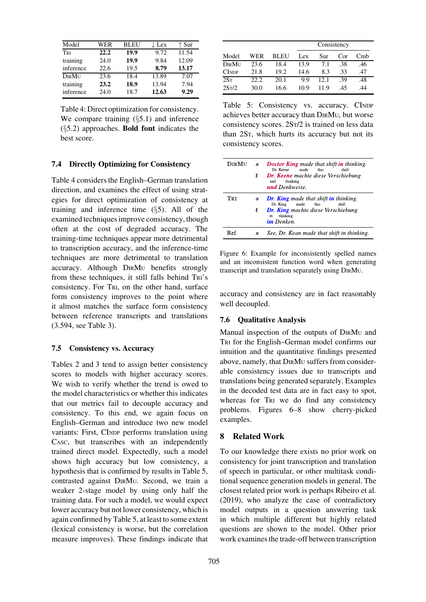| WER  | <b>BLEU</b> | $\downarrow$ Lex | $\uparrow$ Sur |
|------|-------------|------------------|----------------|
| 22.2 | 19.9        | 9.72             | 11.54          |
| 24.0 | 19.9        | 9.84             | 12.09          |
| 22.6 | 19.5        | 8.79             | 13.17          |
| 23.6 | 18.4        | 13.89            | 7.07           |
| 23.2 | 18.9        | 13.94            | 7.94           |
| 24.0 | 18.7        | 12.63            | 9.29           |
|      |             |                  |                |

<span id="page-10-1"></span>Table 4: Direct optimization for consistency. We compare training  $(\S 5.1)$  $(\S 5.1)$  and inference  $(\S 5.2)$  $(\S 5.2)$  approaches. **Bold font** indicates the best score.

### <span id="page-10-0"></span>7.4 Directly Optimizing for Consistency

[Table 4](#page-10-1) considers the English–German translation direction, and examines the effect of using strategies for direct optimization of consistency at training and inference time  $(\S 5)$  $(\S 5)$ . All of the examined techniques improve consistency, though often at the cost of degraded accuracy. The training-time techniques appear more detrimental to transcription accuracy, and the inference-time techniques are more detrimental to translation accuracy. Although DIRM<sup>U</sup> benefits strongly from these techniques, it still falls behind TRI's consistency. For TRI, on the other hand, surface form consistency improves to the point where it almost matches the surface form consistency between reference transcripts and translations (3.594, see [Table 3\)](#page-9-2).

### 7.5 Consistency vs. Accuracy

[Tables 2](#page-9-1) and [3](#page-9-2) tend to assign better consistency scores to models with higher accuracy scores. We wish to verify whether the trend is owed to the model characteristics or whether this indicates that our metrics fail to decouple accuracy and consistency. To this end, we again focus on English–German and introduce two new model variants: First, CINDP performs translation using CASC, but transcribes with an independently trained direct model. Expectedly, such a model shows high accuracy but low consistency, a hypothesis that is confirmed by results in [Table 5,](#page-10-2) contrasted against DIRMU. Second, we train a weaker 2-stage model by using only half the training data. For such a model, we would expect lower accuracy but not lower consistency, which is again confirmed by [Table 5,](#page-10-2) at least to some extent (lexical consistency is worse, but the correlation measure improves). These findings indicate that

|                    |       |      |      | Consistency |     |     |
|--------------------|-------|------|------|-------------|-----|-----|
| Model              | WER   | BLEU | Lex  | Sur         | Cor | Cmb |
| DIRMU              | 23.6  | 18.4 | 13.9 | 7.1         | .38 | .46 |
| <b>CINDP</b>       | 21.8  | 19.2 | 14.6 | 8.3         | .33 | .47 |
| 2S <sub>T</sub>    | 22.2. | 20.1 | 9.9  | 12.1        | -39 | .48 |
| 2S <sub>T</sub> /2 | 30.0  | 16.6 | 10.9 | 119         | 45  | 44  |

<span id="page-10-2"></span>Table 5: Consistency vs. accuracy. CINDP achieves better accuracy than DIRMU, but worse consistency scores. 2ST/2 is trained on less data than 2ST, which hurts its accuracy but not its consistency scores.

| <b>Dir Mu</b> | s | Doctor King made that shift in thinking.<br>Dr. Keene<br>made<br>this<br>shift            |
|---------------|---|-------------------------------------------------------------------------------------------|
|               | ŧ | <b>Dr. Keene</b> machte diese Verschiebung<br>thinking.<br>and<br><b>und</b> Denkweise.   |
| Tri           | S | <b>Dr. King</b> made that shift <b>in</b> thinking.<br>Dr. King<br>made<br>shift<br>this. |
|               | ŧ | <b>Dr. King</b> machte diese Verschiebung<br>thinking.<br>in<br><b>im</b> Denken.         |
| Ref.          | S | See, Dr. Kean made that shift in thinking.                                                |

<span id="page-10-3"></span>Figure 6: Example for inconsistently spelled names and an inconsistent function word when generating transcript and translation separately using DIRMU.

accuracy and consistency are in fact reasonably well decoupled.

### 7.6 Qualitative Analysis

Manual inspection of the outputs of DIRM<sup>U</sup> and TRI for the English–German model confirms our intuition and the quantitative findings presented above, namely, that DIRM<sup>U</sup> suffers from considerable consistency issues due to transcripts and translations being generated separately. Examples in the decoded test data are in fact easy to spot, whereas for TRI we do find any consistency problems. [Figures 6–](#page-10-3)[8](#page-11-1) show cherry-picked examples.

## 8 Related Work

To our knowledge there exists no prior work on consistency for joint transcription and translation of speech in particular, or other multitask conditional sequence generation models in general. The closest related prior work is perhaps [Ribeiro et al.](#page-14-8) [\(2019](#page-14-8)), who analyze the case of contradictory model outputs in a question answering task in which multiple different but highly related questions are shown to the model. Other prior work examines the trade-off between transcription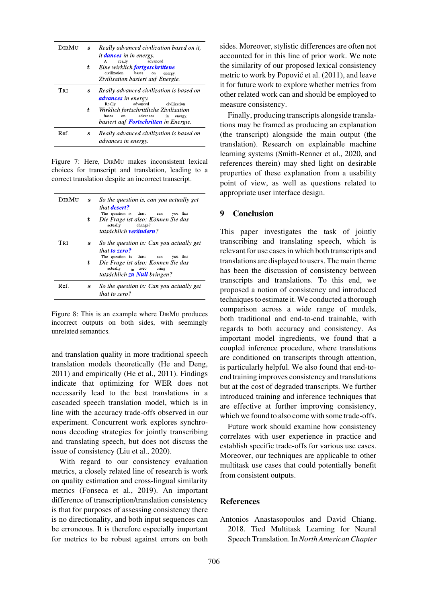| Dir Mit | s | Really advanced civilization based on it,<br><i>it dances in in energy.</i><br>advanced<br>really<br>A                              |
|---------|---|-------------------------------------------------------------------------------------------------------------------------------------|
|         | ŧ | Eine wirklich fortgeschrittene<br>civilization<br>bases<br>energy.<br>on<br>Zivilisation basiert auf Energie.                       |
| Tri     | s | Really advanced civilization is based on<br><b><i>advances</i></b> in energy.<br>advanced<br>Really<br>civilization                 |
|         | t | Wirklich fortschrittliche Zivilisation<br>advances<br>bases<br>on.<br>in<br>energy.<br>basiert auf <b>Fortschritten</b> in Energie. |
| Ref.    | S | Really advanced civilization is based on<br><i>advances in energy.</i>                                                              |

Figure 7: Here, DIRM<sup>U</sup> makes inconsistent lexical choices for transcript and translation, leading to a correct translation despite an incorrect transcript.

| <b>Dir Mu</b> | S<br>t           | So the question is, can you actually get<br>that <b>desert?</b><br>The question is thus:<br>this<br>you<br>can<br>Die Frage ist also: Können Sie das<br>actually<br>change?<br>tatsächlich <b>verändern</b> ? |
|---------------|------------------|---------------------------------------------------------------------------------------------------------------------------------------------------------------------------------------------------------------|
| Tri           | S                | So the question is: Can you actually get<br>that <b>to zero?</b>                                                                                                                                              |
|               | t                | The question is thus:<br>this<br>you<br>can<br>Die Frage ist also: Können Sie das<br>actually<br>bring<br>$\frac{1}{10}$ zero<br>tatsächlich zu Null bringen?                                                 |
| Ref.          | $\boldsymbol{s}$ | So the question is: Can you actually get<br>that to zero?                                                                                                                                                     |

<span id="page-11-1"></span>Figure 8: This is an example where DIRM<sup>U</sup> produces incorrect outputs on both sides, with seemingly unrelated semantics.

and translation quality in more traditional speech translation models theoretically [\(He and Deng,](#page-12-13) [2011](#page-12-13)) and empirically [\(He et al.](#page-12-12), [2011](#page-12-12)). Findings indicate that optimizing for WER does not necessarily lead to the best translations in a cascaded speech translation model, which is in line with the accuracy trade-offs observed in our experiment. Concurrent work explores synchronous decoding strategies for jointly transcribing and translating speech, but does not discuss the issue of consistency [\(Liu et al., 2020](#page-13-12)).

With regard to our consistency evaluation metrics, a closely related line of research is work on quality estimation and cross-lingual similarity metrics [\(Fonseca et al., 2019](#page-12-14)). An important difference of transcription/translation consistency is that for purposes of assessing consistency there is no directionality, and both input sequences can be erroneous. It is therefore especially important for metrics to be robust against errors on both sides. Moreover, stylistic differences are often not accounted for in this line of prior work. We note the similarity of our proposed lexical consistency metric to work by Popović et al. (2011), and leave it for future work to explore whether metrics from other related work can and should be employed to measure consistency.

Finally, producing transcripts alongside translations may be framed as producing an explanation (the transcript) alongside the main output (the translation). Research on explainable machine learning systems [\(Smith-Renner et al.](#page-14-9), [2020,](#page-14-9) and references therein) may shed light on desirable properties of these explanation from a usability point of view, as well as questions related to appropriate user interface design.

## 9 Conclusion

This paper investigates the task of jointly transcribing and translating speech, which is relevant for use cases in which both transcripts and translations are displayed to users. The main theme has been the discussion of consistency between transcripts and translations. To this end, we proposed a notion of consistency and introduced techniques to estimate it.We conducted a thorough comparison across a wide range of models, both traditional and end-to-end trainable, with regards to both accuracy and consistency. As important model ingredients, we found that a coupled inference procedure, where translations are conditioned on transcripts through attention, is particularly helpful. We also found that end-toend training improves consistency and translations but at the cost of degraded transcripts. We further introduced training and inference techniques that are effective at further improving consistency, which we found to also come with some trade-offs.

Future work should examine how consistency correlates with user experience in practice and establish specific trade-offs for various use cases. Moreover, our techniques are applicable to other multitask use cases that could potentially benefit from consistent outputs.

#### **References**

<span id="page-11-0"></span>Antonios Anastasopoulos and David Chiang. 2018. Tied Multitask Learning for Neural Speech Translation. In*North American Chapter*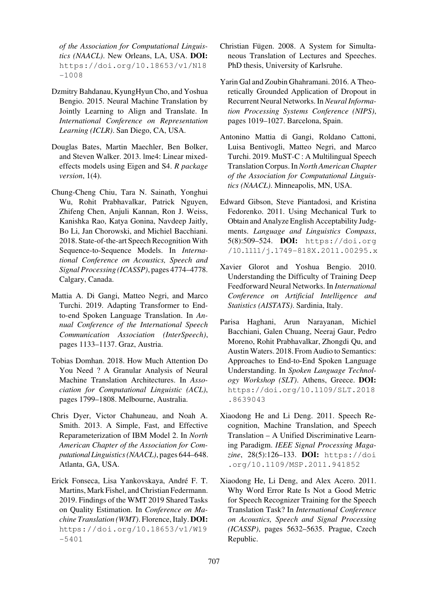*of the Association for Computational Linguistics (NAACL)*. New Orleans, LA, USA. DOI: [https://doi.org/10.18653/v1/N18](https://doi.org/10.18653/v1/N18-1008) [-1008](https://doi.org/10.18653/v1/N18-1008)

- <span id="page-12-2"></span>Dzmitry Bahdanau, KyungHyun Cho, and Yoshua Bengio. 2015. Neural Machine Translation by Jointly Learning to Align and Translate. In *International Conference on Representation Learning (ICLR)*. San Diego, CA, USA.
- <span id="page-12-9"></span>Douglas Bates, Martin Maechler, Ben Bolker, and Steven Walker. 2013. lme4: Linear mixedeffects models using Eigen and S4. *R package version*, 1(4).
- <span id="page-12-3"></span>Chung-Cheng Chiu, Tara N. Sainath, Yonghui Wu, Rohit Prabhavalkar, Patrick Nguyen, Zhifeng Chen, Anjuli Kannan, Ron J. Weiss, Kanishka Rao, Katya Gonina, Navdeep Jaitly, Bo Li, Jan Chorowski, and Michiel Bacchiani. 2018. State-of-the-art Speech Recognition With Sequence-to-Sequence Models. In *International Conference on Acoustics, Speech and Signal Processing (ICASSP)*, pages 4774–4778. Calgary, Canada.
- <span id="page-12-11"></span>Mattia A. Di Gangi, Matteo Negri, and Marco Turchi. 2019. Adapting Transformer to Endto-end Spoken Language Translation. In *Annual Conference of the International Speech Communication Association (InterSpeech)*, pages 1133–1137. Graz, Austria.
- <span id="page-12-4"></span>Tobias Domhan. 2018. How Much Attention Do You Need ? A Granular Analysis of Neural Machine Translation Architectures. In *Association for Computational Linguistic (ACL)*, pages 1799–1808. Melbourne, Australia.
- <span id="page-12-1"></span>Chris Dyer, Victor Chahuneau, and Noah A. Smith. 2013. A Simple, Fast, and Effective Reparameterization of IBM Model 2. In *North American Chapter of the Association for Computational Linguistics (NAACL)*, pages 644–648. Atlanta, GA, USA.
- <span id="page-12-14"></span>Erick Fonseca, Lisa Yankovskaya, Andre F. T. ´ Martins, Mark Fishel, and Christian Federmann. 2019. Findings of the WMT 2019 Shared Tasks on Quality Estimation. In *Conference on Machine Translation (WMT)*. Florence, Italy. DOI: [https://doi.org/10.18653/v1/W19](https://doi.org/10.18653/v1/W19-) [-5401](https://doi.org/10.18653/v1/W19-5401)
- <span id="page-12-0"></span>Christian Fügen. 2008. A System for Simultaneous Translation of Lectures and Speeches. PhD thesis, University of Karlsruhe.
- <span id="page-12-8"></span>Yarin Gal and Zoubin Ghahramani. 2016. A Theoretically Grounded Application of Dropout in Recurrent Neural Networks. In *Neural Information Processing Systems Conference (NIPS)*, pages 1019–1027. Barcelona, Spain.
- <span id="page-12-6"></span>Antonino Mattia di Gangi, Roldano Cattoni, Luisa Bentivogli, Matteo Negri, and Marco Turchi. 2019. MuST-C : A Multilingual Speech Translation Corpus. In*North American Chapter of the Association for Computational Linguistics (NAACL)*. Minneapolis, MN, USA.
- <span id="page-12-10"></span>Edward Gibson, Steve Piantadosi, and Kristina Fedorenko. 2011. Using Mechanical Turk to Obtain and Analyze English Acceptability Judgments. *Language and Linguistics Compass*, 5(8):509–524. DOI: [https://doi.org](https://doi.org/10.1111/j.1749-818X.2011.00295.x) [/10.1111/j.1749-818X.2011.00295.x](https://doi.org/10.1111/j.1749-818X.2011.00295.x)
- <span id="page-12-7"></span>Xavier Glorot and Yoshua Bengio. 2010. Understanding the Difficulty of Training Deep Feedforward Neural Networks. In *International Conference on Artificial Intelligence and Statistics (AISTATS)*. Sardinia, Italy.
- <span id="page-12-5"></span>Parisa Haghani, Arun Narayanan, Michiel Bacchiani, Galen Chuang, Neeraj Gaur, Pedro Moreno, Rohit Prabhavalkar, Zhongdi Qu, and Austin Waters. 2018. From Audio to Semantics: Approaches to End-to-End Spoken Language Understanding. In *Spoken Language Technology Workshop (SLT)*. Athens, Greece. DOI: [https://doi.org/10.1109/SLT.2018](https://doi.org/10.1109/SLT.2018.8639043) [.8639043](https://doi.org/10.1109/SLT.2018.8639043)
- <span id="page-12-13"></span>Xiaodong He and Li Deng. 2011. Speech Recognition, Machine Translation, and Speech Translation – A Unified Discriminative Learning Paradigm. *IEEE Signal Processing Magazine*, 28(5):126–133. DOI: [https://doi](https://doi.org/10.1109/MSP.2011.941852) [.org/10.1109/MSP.2011.941852](https://doi.org/10.1109/MSP.2011.941852)
- <span id="page-12-12"></span>Xiaodong He, Li Deng, and Alex Acero. 2011. Why Word Error Rate Is Not a Good Metric for Speech Recognizer Training for the Speech Translation Task? In *International Conference on Acoustics, Speech and Signal Processing (ICASSP)*, pages 5632–5635. Prague, Czech Republic.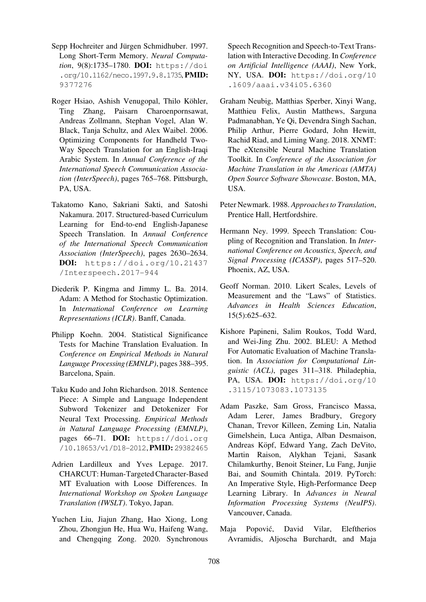- <span id="page-13-5"></span>Sepp Hochreiter and Jürgen Schmidhuber. 1997. Long Short-Term Memory. *Neural Computation*, 9(8):1735–1780. DOI: [https://doi](https://doi.org/10.1162/neco.1997.9.8.1735) [.org/10.1162/neco.1997.9.8.1735](https://doi.org/10.1162/neco.1997.9.8.1735), PMID: [9377276](https://europepmc.org/article/MED/9377276)
- <span id="page-13-1"></span>Roger Hsiao, Ashish Venugopal, Thilo Köhler, Ting Zhang, Paisarn Charoenpornsawat, Andreas Zollmann, Stephan Vogel, Alan W. Black, Tanja Schultz, and Alex Waibel. 2006. Optimizing Components for Handheld Two-Way Speech Translation for an English-Iraqi Arabic System. In *Annual Conference of the International Speech Communication Association (InterSpeech)*, pages 765–768. Pittsburgh, PA, USA.
- <span id="page-13-6"></span>Takatomo Kano, Sakriani Sakti, and Satoshi Nakamura. 2017. Structured-based Curriculum Learning for End-to-end English-Japanese Speech Translation. In *Annual Conference of the International Speech Communication Association (InterSpeech)*, pages 2630–2634. DOI: [https://doi.org/10.21437](https://doi.org/10.21437/Interspeech.2017-944) [/Interspeech.2017-944](https://doi.org/10.21437/Interspeech.2017-944)
- <span id="page-13-8"></span>Diederik P. Kingma and Jimmy L. Ba. 2014. Adam: A Method for Stochastic Optimization. In *International Conference on Learning Representations (ICLR)*. Banff, Canada.
- <span id="page-13-13"></span>Philipp Koehn. 2004. Statistical Significance Tests for Machine Translation Evaluation. In *Conference on Empirical Methods in Natural Language Processing (EMNLP)*, pages 388–395. Barcelona, Spain.
- <span id="page-13-7"></span>Taku Kudo and John Richardson. 2018. Sentence Piece: A Simple and Language Independent Subword Tokenizer and Detokenizer For Neural Text Processing. *Empirical Methods in Natural Language Processing (EMNLP)*, pages 66–71. DOI: [https://doi.org](https://doi.org/10.18653/v1/D18-2012) [/10.18653/v1/D18-2012](https://doi.org/10.18653/v1/D18-2012), PMID: [29382465](https://europepmc.org/article/MED/29382465)
- <span id="page-13-4"></span>Adrien Lardilleux and Yves Lepage. 2017. CHARCUT: Human-Targeted Character-Based MT Evaluation with Loose Differences. In *International Workshop on Spoken Language Translation (IWSLT)*. Tokyo, Japan.
- <span id="page-13-12"></span>Yuchen Liu, Jiajun Zhang, Hao Xiong, Long Zhou, Zhongjun He, Hua Wu, Haifeng Wang, and Chengqing Zong. 2020. Synchronous

Speech Recognition and Speech-to-Text Translation with Interactive Decoding. In *Conference on Artificial Intelligence (AAAI)*, New York, NY, USA. DOI: [https://doi.org/10](https://doi.org/10.1609/aaai.v34i05.6360) [.1609/aaai.v34i05.6360](https://doi.org/10.1609/aaai.v34i05.6360)

- <span id="page-13-10"></span>Graham Neubig, Matthias Sperber, Xinyi Wang, Matthieu Felix, Austin Matthews, Sarguna Padmanabhan, Ye Qi, Devendra Singh Sachan, Philip Arthur, Pierre Godard, John Hewitt, Rachid Riad, and Liming Wang. 2018. XNMT: The eXtensible Neural Machine Translation Toolkit. In *Conference of the Association for Machine Translation in the Americas (AMTA) Open Source Software Showcase*. Boston, MA, USA.
- <span id="page-13-3"></span>Peter Newmark. 1988. *Approaches to Translation*, Prentice Hall, Hertfordshire.
- <span id="page-13-0"></span>Hermann Ney. 1999. Speech Translation: Coupling of Recognition and Translation. In *International Conference on Acoustics, Speech, and Signal Processing (ICASSP)*, pages 517–520. Phoenix, AZ, USA.
- <span id="page-13-11"></span>Geoff Norman. 2010. Likert Scales, Levels of Measurement and the "Laws" of Statistics. *Advances in Health Sciences Education*, 15(5):625–632.
- <span id="page-13-2"></span>Kishore Papineni, Salim Roukos, Todd Ward, and Wei-Jing Zhu. 2002. BLEU: A Method For Automatic Evaluation of Machine Translation. In *Association for Computational Linguistic (ACL)*, pages 311–318. Philadephia, PA, USA. DOI: [https://doi.org/10](https://doi.org/10.3115/1073083.1073135) [.3115/1073083.1073135](https://doi.org/10.3115/1073083.1073135)
- <span id="page-13-9"></span>Adam Paszke, Sam Gross, Francisco Massa, Adam Lerer, James Bradbury, Gregory Chanan, Trevor Killeen, Zeming Lin, Natalia Gimelshein, Luca Antiga, Alban Desmaison, Andreas Köpf, Edward Yang, Zach DeVito, Martin Raison, Alykhan Tejani, Sasank Chilamkurthy, Benoit Steiner, Lu Fang, Junjie Bai, and Soumith Chintala. 2019. PyTorch: An Imperative Style, High-Performance Deep Learning Library. In *Advances in Neural Information Processing Systems (NeuIPS)*. Vancouver, Canada.
- <span id="page-13-14"></span>Maja Popovic, David Vilar, Eleftherios ´ Avramidis, Aljoscha Burchardt, and Maja